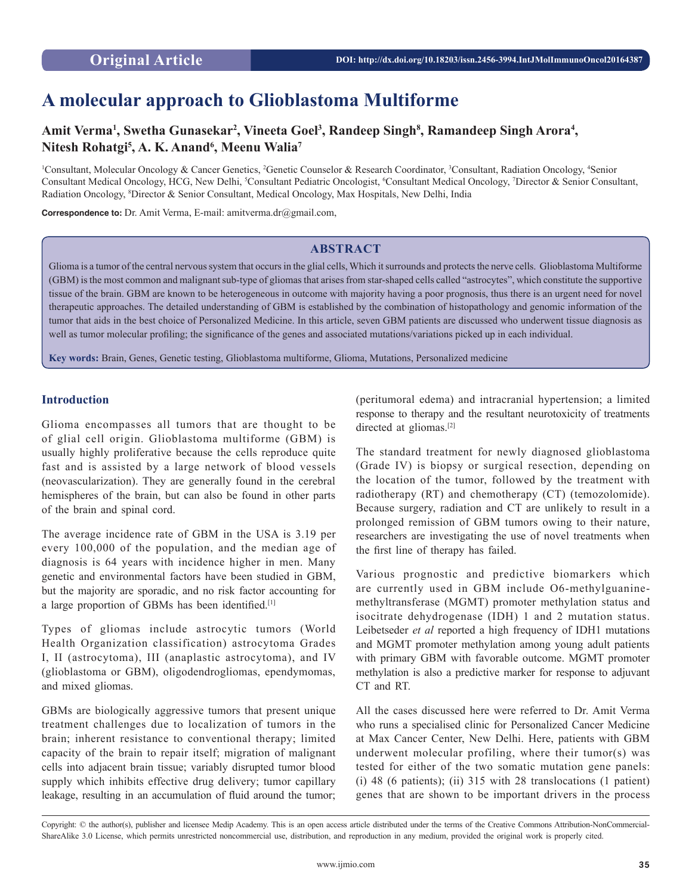# **A molecular approach to Glioblastoma Multiforme**

# Amit Verma<sup>1</sup>, Swetha Gunasekar<sup>2</sup>, Vineeta Goel<sup>3</sup>, Randeep Singh<sup>8</sup>, Ramandeep Singh Arora<sup>4</sup>, **Nitesh Rohatgi5 , A. K. Anand6 , Meenu Walia7**

<sup>1</sup>Consultant, Molecular Oncology & Cancer Genetics, <sup>2</sup>Genetic Counselor & Research Coordinator, <sup>3</sup>Consultant, Radiation Oncology, <sup>4</sup>Senior Consultant Medical Oncology, HCG, New Delhi, <sup>5</sup>Consultant Pediatric Oncologist, <sup>6</sup>Consultant Medical Oncology, <sup>7</sup>Director & Senior Consultant, Radiation Oncology, 8 Director & Senior Consultant, Medical Oncology, Max Hospitals, New Delhi, India

**Correspondence to:** Dr. Amit Verma, E-mail: amitverma.dr@gmail.com,

# **ABSTRACT**

Glioma is a tumor of the central nervous system that occurs in the glial cells, Which it surrounds and protects the nerve cells. Glioblastoma Multiforme (GBM) is the most common and malignant sub-type of gliomas that arises from star-shaped cells called "astrocytes", which constitute the supportive tissue of the brain. GBM are known to be heterogeneous in outcome with majority having a poor prognosis, thus there is an urgent need for novel therapeutic approaches. The detailed understanding of GBM is established by the combination of histopathology and genomic information of the tumor that aids in the best choice of Personalized Medicine. In this article, seven GBM patients are discussed who underwent tissue diagnosis as well as tumor molecular profiling; the significance of the genes and associated mutations/variations picked up in each individual.

**Key words:** Brain, Genes, Genetic testing, Glioblastoma multiforme, Glioma, Mutations, Personalized medicine

## **Introduction**

Glioma encompasses all tumors that are thought to be of glial cell origin. Glioblastoma multiforme (GBM) is usually highly proliferative because the cells reproduce quite fast and is assisted by a large network of blood vessels (neovascularization). They are generally found in the cerebral hemispheres of the brain, but can also be found in other parts of the brain and spinal cord.

The average incidence rate of GBM in the USA is 3.19 per every 100,000 of the population, and the median age of diagnosis is 64 years with incidence higher in men. Many genetic and environmental factors have been studied in GBM, but the majority are sporadic, and no risk factor accounting for a large proportion of GBMs has been identified.[1]

Types of gliomas include astrocytic tumors (World Health Organization classification) astrocytoma Grades I, II (astrocytoma), III (anaplastic astrocytoma), and IV (glioblastoma or GBM), oligodendrogliomas, ependymomas, and mixed gliomas.

GBMs are biologically aggressive tumors that present unique treatment challenges due to localization of tumors in the brain; inherent resistance to conventional therapy; limited capacity of the brain to repair itself; migration of malignant cells into adjacent brain tissue; variably disrupted tumor blood supply which inhibits effective drug delivery; tumor capillary leakage, resulting in an accumulation of fluid around the tumor;

(peritumoral edema) and intracranial hypertension; a limited response to therapy and the resultant neurotoxicity of treatments directed at gliomas.<sup>[2]</sup>

The standard treatment for newly diagnosed glioblastoma (Grade IV) is biopsy or surgical resection, depending on the location of the tumor, followed by the treatment with radiotherapy (RT) and chemotherapy (CT) (temozolomide). Because surgery, radiation and CT are unlikely to result in a prolonged remission of GBM tumors owing to their nature, researchers are investigating the use of novel treatments when the first line of therapy has failed.

Various prognostic and predictive biomarkers which are currently used in GBM include O6-methylguaninemethyltransferase (MGMT) promoter methylation status and isocitrate dehydrogenase (IDH) 1 and 2 mutation status. Leibetseder *et al* reported a high frequency of IDH1 mutations and MGMT promoter methylation among young adult patients with primary GBM with favorable outcome. MGMT promoter methylation is also a predictive marker for response to adjuvant CT and RT.

All the cases discussed here were referred to Dr. Amit Verma who runs a specialised clinic for Personalized Cancer Medicine at Max Cancer Center, New Delhi. Here, patients with GBM underwent molecular profiling, where their tumor(s) was tested for either of the two somatic mutation gene panels: (i) 48 (6 patients); (ii) 315 with 28 translocations (1 patient) genes that are shown to be important drivers in the process

Copyright: © the author(s), publisher and licensee Medip Academy. This is an open access article distributed under the terms of the Creative Commons Attribution-NonCommercial-ShareAlike 3.0 License, which permits unrestricted noncommercial use, distribution, and reproduction in any medium, provided the original work is properly cited.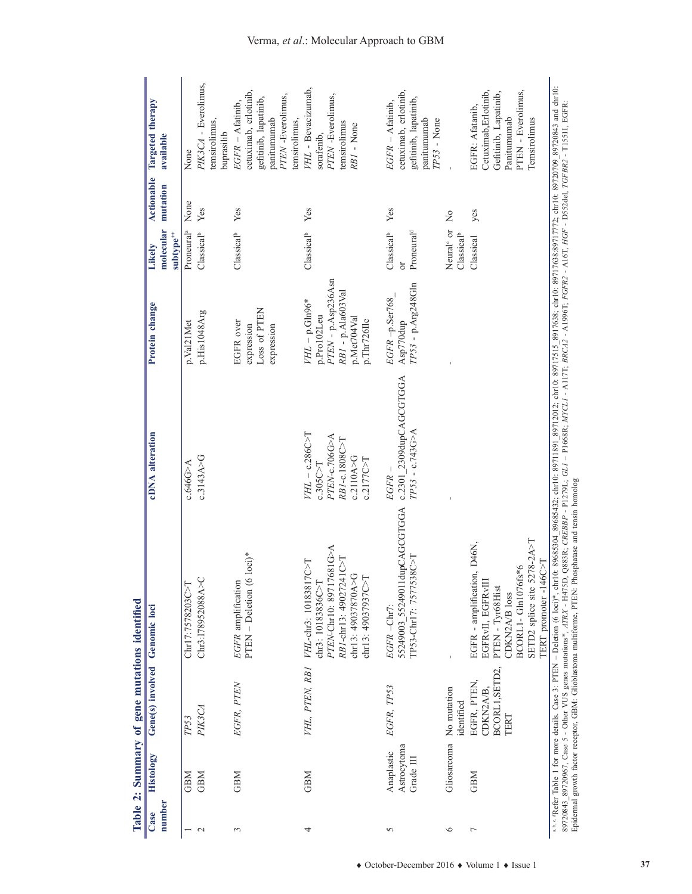| Histology<br><b>GBM</b><br><b>GBM</b><br><b>GBM</b><br>number<br>Case<br>$\mathbf{C}$<br>3<br>$\overline{ }$ |                         | Gene(s) involved |                                                                                                                                                                                                                                                                                                |                                            |                                 | Likely                                           | <b>Actionable</b>       |                                                |
|--------------------------------------------------------------------------------------------------------------|-------------------------|------------------|------------------------------------------------------------------------------------------------------------------------------------------------------------------------------------------------------------------------------------------------------------------------------------------------|--------------------------------------------|---------------------------------|--------------------------------------------------|-------------------------|------------------------------------------------|
|                                                                                                              |                         |                  | Genomic loci                                                                                                                                                                                                                                                                                   | cDNA alteration                            | Protein change                  |                                                  |                         | Targeted therapy                               |
|                                                                                                              |                         |                  |                                                                                                                                                                                                                                                                                                |                                            |                                 | molecular<br>$subtype^{++}$                      | mutation                | available                                      |
|                                                                                                              | TP53                    |                  | Chr17:7578203C>T                                                                                                                                                                                                                                                                               | c.646G>A                                   | p.Val21Met                      | Proneural <sup>a</sup>                           | None                    | None                                           |
|                                                                                                              |                         | PIK3CA           | Chr3:I78952088A>C                                                                                                                                                                                                                                                                              | c.3143A > G                                | p.His1048Arg                    | Classical <sup>b</sup>                           | Yes                     | PIK3CA - Everolimus,                           |
|                                                                                                              |                         |                  |                                                                                                                                                                                                                                                                                                |                                            |                                 |                                                  |                         | temsirolimus,<br>buprasilib                    |
|                                                                                                              |                         | EGFR, PTEN       | EGFR amplification                                                                                                                                                                                                                                                                             |                                            | EGFR over                       | Classical <sup>b</sup>                           | Yes                     | $EGFR - \Lambda$ fatinib,                      |
|                                                                                                              |                         |                  | $PTEN - Deletion (6 loci)*$                                                                                                                                                                                                                                                                    |                                            | expression                      |                                                  |                         | cetuximab, erlotinib,                          |
|                                                                                                              |                         |                  |                                                                                                                                                                                                                                                                                                |                                            | Loss of PTEN                    |                                                  |                         | gefitimib, lapatinib,<br>panitumumab           |
|                                                                                                              |                         |                  |                                                                                                                                                                                                                                                                                                |                                            | expression                      |                                                  |                         | PTEN-Everolimus,                               |
|                                                                                                              |                         |                  |                                                                                                                                                                                                                                                                                                |                                            |                                 |                                                  |                         | temsirolimus,                                  |
| <b>GBM</b><br>4                                                                                              |                         | VHL, PTEN, RBI   | VHL-chr3: 10183817C>T                                                                                                                                                                                                                                                                          | $VHL$ – $c.286C$                           | $VHL$ – p. $Gln96*$             | Classical <sup>b</sup>                           | Yes                     | VHL - Bevacizumab,                             |
|                                                                                                              |                         |                  | chr3: 10183836C > T                                                                                                                                                                                                                                                                            | c.305C > T                                 | p.Pro102Leu                     |                                                  |                         | sorafenib,                                     |
|                                                                                                              |                         |                  | PTEN-Chr10: 89717681G>A                                                                                                                                                                                                                                                                        | PTEN-c.706G>A                              | PTEN - p.Asp236Asn              |                                                  |                         | PTEN-Everolimus,                               |
|                                                                                                              |                         |                  | $RBI$ -chr13: 49027241C>T                                                                                                                                                                                                                                                                      | RBI-c.1808C>T                              | RB1 - p.Ala603Val               |                                                  |                         | temsirolimus                                   |
|                                                                                                              |                         |                  | chr13: 49037870A>G                                                                                                                                                                                                                                                                             | c.2110A>G                                  | p.Met704Val                     |                                                  |                         | RB1 - None                                     |
|                                                                                                              |                         |                  | chr13: 49037937C>T                                                                                                                                                                                                                                                                             | c.2177C > T                                | p.Thr726Ile                     |                                                  |                         |                                                |
|                                                                                                              |                         |                  | EGFR-Chr7:                                                                                                                                                                                                                                                                                     |                                            |                                 |                                                  |                         |                                                |
| 5                                                                                                            | Anaplastic              | EGFR, TP53       |                                                                                                                                                                                                                                                                                                | EGFR.                                      | $EGFR$ -p.Ser768                | Classical <sup>b</sup>                           | Yes                     | $EGFR - \Lambda$ fatinib,                      |
| Grade III                                                                                                    | Astrocytoma             |                  | 55249003 55249011dupCAGCGTGGA<br>TP53-Chr17: 7577538C>1                                                                                                                                                                                                                                        | c.2301_2309dupCAGCGTGGA<br>$TP53 - c.743G$ | TP53 - p.Arg248Gln<br>Asp770dup | Proneural <sup>d</sup><br>$\overline{0}$         |                         | cetuximab, erlotinib,<br>gefitinib, lapatinib, |
|                                                                                                              |                         |                  |                                                                                                                                                                                                                                                                                                |                                            |                                 |                                                  |                         | panitumumab                                    |
|                                                                                                              |                         |                  |                                                                                                                                                                                                                                                                                                |                                            |                                 |                                                  |                         | TP53 - None                                    |
| $\circ$                                                                                                      | Gliosarcoma No mutation | identified       | $\blacksquare$                                                                                                                                                                                                                                                                                 |                                            |                                 | Neural <sup>e</sup> or<br>Classical <sup>b</sup> | $\overline{\mathsf{z}}$ |                                                |
| <b>GBM</b><br>$\overline{ }$                                                                                 |                         | EGFR, PTEN       | EGFR - amplification, D46N,                                                                                                                                                                                                                                                                    |                                            |                                 | Classical                                        | yes                     | EGFR: Afatanib,                                |
|                                                                                                              |                         | CDKN2A/B,        | EGFRVII, EGFRVII                                                                                                                                                                                                                                                                               |                                            |                                 |                                                  |                         | Cetuximab,Erlotinib,                           |
|                                                                                                              |                         | BCORL1, SETD2,   | PTEN - Tyr68Hist                                                                                                                                                                                                                                                                               |                                            |                                 |                                                  |                         | Gefitinib, Lapatinib,                          |
|                                                                                                              | TERT                    |                  | CDKN2A/B loss                                                                                                                                                                                                                                                                                  |                                            |                                 |                                                  |                         | Panitumumab                                    |
|                                                                                                              |                         |                  | BCORL1-Gln1076fs*6                                                                                                                                                                                                                                                                             |                                            |                                 |                                                  |                         | PTEN - Everolimus,                             |
|                                                                                                              |                         |                  | SETD2 splice site 5278-2A>T                                                                                                                                                                                                                                                                    |                                            |                                 |                                                  |                         | Temsirolimus                                   |
|                                                                                                              |                         |                  | TERT promoter -146C>T                                                                                                                                                                                                                                                                          |                                            |                                 |                                                  |                         |                                                |
|                                                                                                              |                         |                  | ****9Refer Table 1 for more details. Case 3: PTEN - Deletion (6 loci)*, ohr10: 89685342; chr10: 897132; chr10: 8971215, 29717515, 89717638; chr10: 8971772; chr10: 89720720720843 and chr10:                                                                                                   |                                            |                                 |                                                  |                         |                                                |
|                                                                                                              |                         |                  | 89720867, Case 5 - Other VUS genes mutations*, ATRX - H475D, Q883R; CREBBP - P1279L; GLI - P1668R; AIYCLI - AIITI; BRCA2 - A1996T; FGFR2 - A16T, HGF - D552del, TGFBR2 - T1551I, EGFR;<br>Epidermal growth factor receptor, GBM: Glioblastoma multiforme, PTEN: Phosphatase and tensin homolog |                                            |                                 |                                                  |                         |                                                |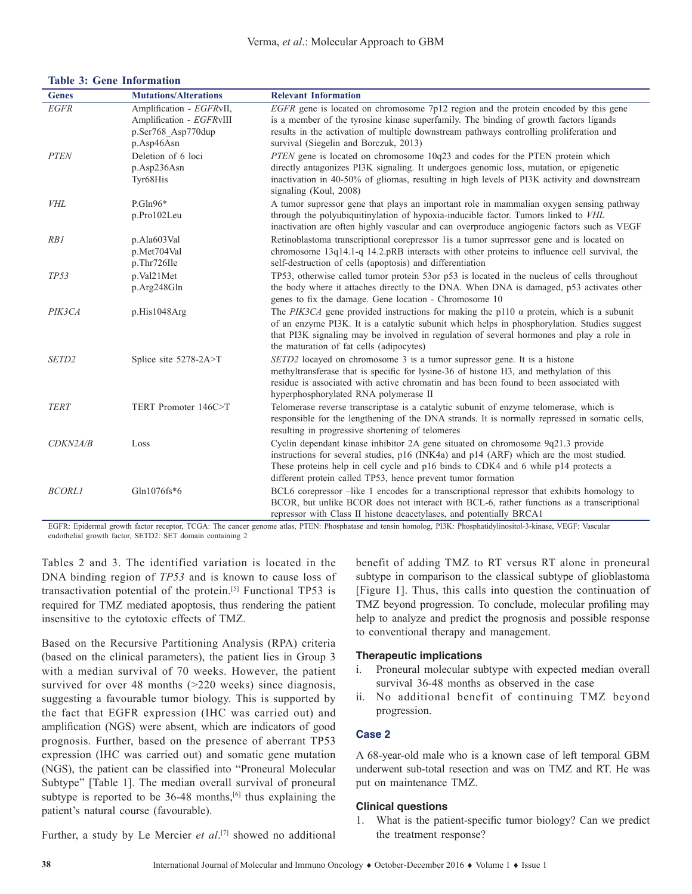#### **Table 3: Gene Information**

| <b>Genes</b>      | <b>Mutations/Alterations</b>                         | <b>Relevant Information</b>                                                                                                                                                                                                                                                                                                            |
|-------------------|------------------------------------------------------|----------------------------------------------------------------------------------------------------------------------------------------------------------------------------------------------------------------------------------------------------------------------------------------------------------------------------------------|
| <b>EGFR</b>       | Amplification - EGFRvII,<br>Amplification - EGFRvIII | <i>EGFR</i> gene is located on chromosome $7p12$ region and the protein encoded by this gene<br>is a member of the tyrosine kinase superfamily. The binding of growth factors ligands                                                                                                                                                  |
|                   | p.Ser768 Asp770dup                                   | results in the activation of multiple downstream pathways controlling proliferation and                                                                                                                                                                                                                                                |
|                   | p.Asp46Asn                                           | survival (Siegelin and Borczuk, 2013)                                                                                                                                                                                                                                                                                                  |
| <b>PTEN</b>       | Deletion of 6 loci                                   | PTEN gene is located on chromosome 10q23 and codes for the PTEN protein which                                                                                                                                                                                                                                                          |
|                   | p.Asp236Asn<br>Tyr68His                              | directly antagonizes PI3K signaling. It undergoes genomic loss, mutation, or epigenetic<br>inactivation in 40-50% of gliomas, resulting in high levels of PI3K activity and downstream<br>signaling (Koul, 2008)                                                                                                                       |
| <b>VHL</b>        | $P.Gln96*$                                           | A tumor supressor gene that plays an important role in mammalian oxygen sensing pathway                                                                                                                                                                                                                                                |
|                   | p.Pro102Leu                                          | through the polyubiquitinylation of hypoxia-inducible factor. Tumors linked to VHL<br>inactivation are often highly vascular and can overproduce angiogenic factors such as VEGF                                                                                                                                                       |
| RB1               | p.Ala603Val                                          | Retinoblastoma transcriptional corepressor 1 is a tumor suprressor gene and is located on                                                                                                                                                                                                                                              |
|                   | p.Met704Val                                          | chromosome 13q14.1-q 14.2.pRB interacts with other proteins to influence cell survival, the                                                                                                                                                                                                                                            |
|                   | p.Thr726Ile                                          | self-destruction of cells (apoptosis) and differentiation                                                                                                                                                                                                                                                                              |
| TP53              | p.Val21Met                                           | TP53, otherwise called tumor protein 53or p53 is located in the nucleus of cells throughout                                                                                                                                                                                                                                            |
|                   | p.Arg248Gln                                          | the body where it attaches directly to the DNA. When DNA is damaged, p53 activates other<br>genes to fix the damage. Gene location - Chromosome 10                                                                                                                                                                                     |
| PIK3CA            | p.His1048Arg                                         | The PIK3CA gene provided instructions for making the p110 $\alpha$ protein, which is a subunit<br>of an enzyme PI3K. It is a catalytic subunit which helps in phosphorylation. Studies suggest<br>that PI3K signaling may be involved in regulation of several hormones and play a role in<br>the maturation of fat cells (adipocytes) |
| SETD <sub>2</sub> | Splice site 5278-2A>T                                | SETD2 locayed on chromosome 3 is a tumor supressor gene. It is a histone<br>methyltransferase that is specific for lysine-36 of histone H3, and methylation of this<br>residue is associated with active chromatin and has been found to been associated with<br>hyperphosphorylated RNA polymerase II                                 |
| <b>TERT</b>       | TERT Promoter 146C>T                                 | Telomerase reverse transcriptase is a catalytic subunit of enzyme telomerase, which is<br>responsible for the lengthening of the DNA strands. It is normally repressed in somatic cells,<br>resulting in progressive shortening of telomeres                                                                                           |
| CDKN2A/B          | Loss                                                 | Cyclin dependant kinase inhibitor 2A gene situated on chromosome 9q21.3 provide<br>instructions for several studies, p16 (INK4a) and p14 (ARF) which are the most studied.<br>These proteins help in cell cycle and p16 binds to CDK4 and 6 while p14 protects a<br>different protein called TP53, hence prevent tumor formation       |
| <b>BCORL1</b>     | Gln1076fs*6                                          | BCL6 corepressor -like 1 encodes for a transcriptional repressor that exhibits homology to<br>BCOR, but unlike BCOR does not interact with BCL-6, rather functions as a transcriptional<br>repressor with Class II histone deacetylases, and potentially BRCA1                                                                         |

EGFR: Epidermal growth factor receptor, TCGA: The cancer genome atlas, PTEN: Phosphatase and tensin homolog, PI3K: Phosphatidylinositol-3-kinase, VEGF: Vascular endothelial growth factor, SETD2: SET domain containing 2

Tables 2 and 3. The identified variation is located in the DNA binding region of *TP53* and is known to cause loss of transactivation potential of the protein.[5] Functional TP53 is required for TMZ mediated apoptosis, thus rendering the patient insensitive to the cytotoxic effects of TMZ.

Based on the Recursive Partitioning Analysis (RPA) criteria (based on the clinical parameters), the patient lies in Group 3 with a median survival of 70 weeks. However, the patient survived for over 48 months (>220 weeks) since diagnosis, suggesting a favourable tumor biology. This is supported by the fact that EGFR expression (IHC was carried out) and amplification (NGS) were absent, which are indicators of good prognosis. Further, based on the presence of aberrant TP53 expression (IHC was carried out) and somatic gene mutation (NGS), the patient can be classified into "Proneural Molecular Subtype" [Table 1]. The median overall survival of proneural subtype is reported to be  $36-48$  months,<sup>[6]</sup> thus explaining the patient's natural course (favourable).

benefit of adding TMZ to RT versus RT alone in proneural subtype in comparison to the classical subtype of glioblastoma [Figure 1]. Thus, this calls into question the continuation of TMZ beyond progression. To conclude, molecular profiling may help to analyze and predict the prognosis and possible response to conventional therapy and management.

#### **Therapeutic implications**

- i. Proneural molecular subtype with expected median overall survival 36-48 months as observed in the case
- ii. No additional benefit of continuing TMZ beyond progression.

## **Case 2**

A 68-year-old male who is a known case of left temporal GBM underwent sub-total resection and was on TMZ and RT. He was put on maintenance TMZ.

#### **Clinical questions**

- Further, a study by Le Mercier *et al*. [7] showed no additional
- 1. What is the patient-specific tumor biology? Can we predict the treatment response?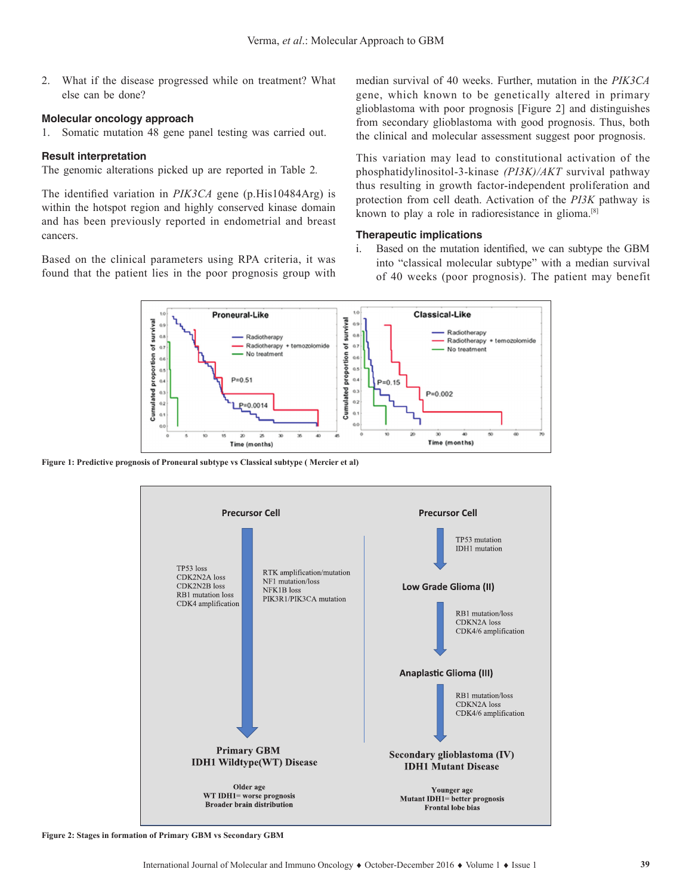2. What if the disease progressed while on treatment? What else can be done?

#### **Molecular oncology approach**

1. Somatic mutation 48 gene panel testing was carried out.

#### **Result interpretation**

The genomic alterations picked up are reported in Table 2*.*

The identified variation in *PIK3CA* gene (p.His10484Arg) is within the hotspot region and highly conserved kinase domain and has been previously reported in endometrial and breast cancers.

Based on the clinical parameters using RPA criteria, it was found that the patient lies in the poor prognosis group with median survival of 40 weeks. Further, mutation in the *PIK3CA* gene, which known to be genetically altered in primary glioblastoma with poor prognosis [Figure 2] and distinguishes from secondary glioblastoma with good prognosis. Thus, both the clinical and molecular assessment suggest poor prognosis.

This variation may lead to constitutional activation of the phosphatidylinositol-3-kinase *(PI3K)/AKT* survival pathway thus resulting in growth factor-independent proliferation and protection from cell death. Activation of the *PI3K* pathway is known to play a role in radioresistance in glioma.[8]

#### **Therapeutic implications**

i. Based on the mutation identified, we can subtype the GBM into "classical molecular subtype" with a median survival of 40 weeks (poor prognosis). The patient may benefit



**Figure 1: Predictive prognosis of Proneural subtype vs Classical subtype ( Mercier et al)**



**Figure 2: Stages in formation of Primary GBM vs Secondary GBM**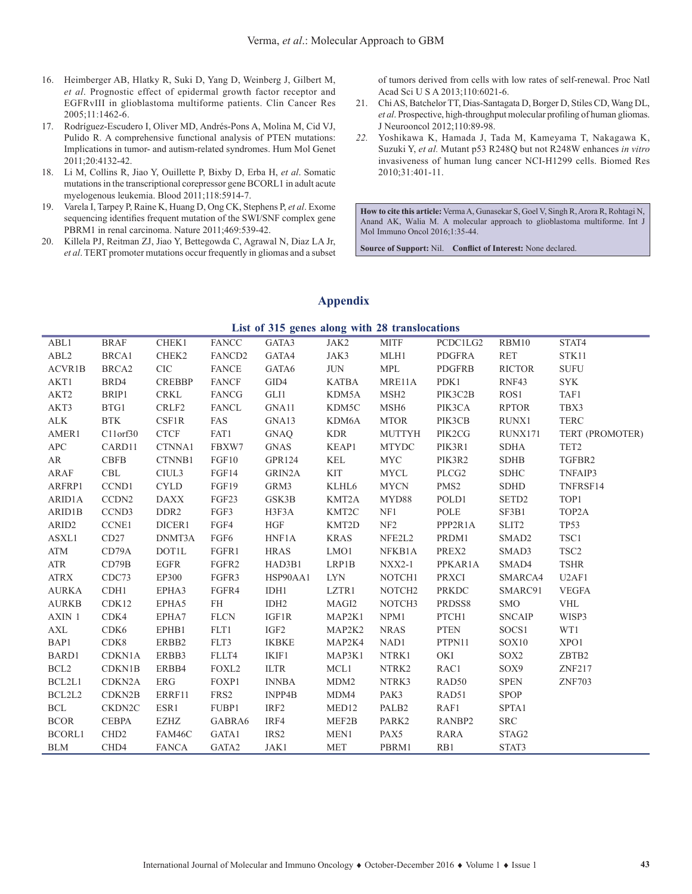- 16. Heimberger AB, Hlatky R, Suki D, Yang D, Weinberg J, Gilbert M, *et al*. Prognostic effect of epidermal growth factor receptor and EGFRvIII in glioblastoma multiforme patients. Clin Cancer Res 2005;11:1462-6.
- 17. Rodríguez-Escudero I, Oliver MD, Andrés-Pons A, Molina M, Cid VJ, Pulido R. A comprehensive functional analysis of PTEN mutations: Implications in tumor- and autism-related syndromes. Hum Mol Genet 2011;20:4132-42.
- 18. Li M, Collins R, Jiao Y, Ouillette P, Bixby D, Erba H, *et al*. Somatic mutations in the transcriptional corepressor gene BCORL1 in adult acute myelogenous leukemia. Blood 2011;118:5914-7.
- 19. Varela I, Tarpey P, Raine K, Huang D, Ong CK, Stephens P, *et al*. Exome sequencing identifies frequent mutation of the SWI/SNF complex gene PBRM1 in renal carcinoma. Nature 2011;469:539-42.
- 20. Killela PJ, Reitman ZJ, Jiao Y, Bettegowda C, Agrawal N, Diaz LA Jr, *et al*. TERT promoter mutations occur frequently in gliomas and a subset

of tumors derived from cells with low rates of self-renewal. Proc Natl Acad Sci U S A 2013;110:6021-6.

- 21. Chi AS, Batchelor TT, Dias-Santagata D, Borger D, Stiles CD, Wang DL, *et al*. Prospective, high-throughput molecular profiling of human gliomas. J Neurooncol 2012;110:89-98.
- *22.* Yoshikawa K, Hamada J, Tada M, Kameyama T, Nakagawa K, Suzuki Y, *et al.* Mutant p53 R248Q but not R248W enhances *in vitro* invasiveness of human lung cancer NCI-H1299 cells. Biomed Res 2010;31:401-11.

**How to cite this article:** Verma A, Gunasekar S, Goel V, Singh R, Arora R, Rohtagi N, Anand AK, Walia M. A molecular approach to glioblastoma multiforme. Int J Mol Immuno Oncol 2016;1:35-44.

**Source of Support:** Nil. **Conflict of Interest:** None declared.

# **Appendix**

|  |  |  | List of 315 genes along with 28 translocations |
|--|--|--|------------------------------------------------|

| ABL1             | BRAF              | CHEK1         | FANCC              | GATA3        | JAK2              | <b>MITF</b>        | PCDC1LG2         | RBM10             | STAT4                          |
|------------------|-------------------|---------------|--------------------|--------------|-------------------|--------------------|------------------|-------------------|--------------------------------|
| ABL <sub>2</sub> | BRCA1             | CHEK2         | FANCD <sub>2</sub> | GATA4        | JAK3              | MLH1               | PDGFRA           | <b>RET</b>        | STK11                          |
| ACVR1B           | BRCA <sub>2</sub> | CIC           | <b>FANCE</b>       | GATA6        | <b>JUN</b>        | <b>MPL</b>         | PDGFRB           | <b>RICTOR</b>     | <b>SUFU</b>                    |
| AKT1             | BRD4              | <b>CREBBP</b> | <b>FANCF</b>       | GID4         | <b>KATBA</b>      | MRE11A             | PDK1             | RNF43             | <b>SYK</b>                     |
| AKT2             | BRIP1             | CRKL          | FANCG              | GLI1         | KDM5A             | MSH <sub>2</sub>   | PIK3C2B          | ROS1              | TAF1                           |
| AKT3             | BTG1              | CRLF2         | FANCL              | GNA11        | KDM5C             | MSH6               | PIK3CA           | <b>RPTOR</b>      | TBX3                           |
| ALK              | <b>BTK</b>        | CSF1R         | FAS                | GNA13        | KDM6A             | <b>MTOR</b>        | PIK3CB           | RUNX1             | <b>TERC</b>                    |
| AMER1            | C11orf30          | <b>CTCF</b>   | FAT1               | GNAQ         | <b>KDR</b>        | <b>MUTTYH</b>      | PIK2CG           | RUNX171           | TERT (PROMOTER)                |
| APC              | CARD11            | CTNNA1        | FBXW7              | GNAS         | KEAP1             | <b>MTYDC</b>       | PIK3R1           | SDHA              | TET <sub>2</sub>               |
| AR               | <b>CBFB</b>       | CTNNB1        | FGF10              | GPR124       | KEL               | MYC                | PIK3R2           | <b>SDHB</b>       | TGFBR2                         |
| ARAF             | CBL               | CIUL3         | FGF14              | GRIN2A       | <b>KIT</b>        | MYCL               | PLCG2            | <b>SDHC</b>       | TNFAIP3                        |
| ARFRP1           | CCND1             | <b>CYLD</b>   | FGF19              | GRM3         | KLHL6             | <b>MYCN</b>        | PMS <sub>2</sub> | <b>SDHD</b>       | TNFRSF14                       |
| ARID1A           | CCDN <sub>2</sub> | <b>DAXX</b>   | FGF23              | GSK3B        | KMT2A             | MYD88              | POLD1            | SETD <sub>2</sub> | TOP1                           |
| ARID1B           | CCND3             | DDR2          | FGF3               | H3F3A        | KMT2C             | NF1                | POLE             | SF3B1             | TOP2A                          |
| ARID2            | CCNE1             | DICER1        | FGF4               | <b>HGF</b>   | KMT2D             | NF2                | PPP2R1A          | SLIT2             | <b>TP53</b>                    |
| ASXL1            | CD27              | DNMT3A        | FGF6               | HNF1A        | <b>KRAS</b>       | NFE2L2             | PRDM1            | SMAD <sub>2</sub> | TSC1                           |
| ATM              | CD79A             | <b>DOT1L</b>  | FGFR1              | <b>HRAS</b>  | LMO1              | NFKB1A             | PREX2            | SMAD3             | TSC <sub>2</sub>               |
| <b>ATR</b>       | CD79B             | EGFR          | FGFR2              | HAD3B1       | LRP1B             | $NXX2-1$           | PPKAR1A          | SMAD4             | <b>TSHR</b>                    |
| ATRX             | CDC73             | EP300         | FGFR3              | HSP90AA1     | LYN               | NOTCH1             | PRXCI            | SMARCA4           | U <sub>2</sub> AF <sub>1</sub> |
| <b>AURKA</b>     | CDH1              | EPHA3         | FGFR4              | IDH1         | LZTR1             | NOTCH <sub>2</sub> | PRKDC            | SMARC91           | <b>VEGFA</b>                   |
| <b>AURKB</b>     | CDK12             | EPHA5         | FH FH              | IDH2         | MAGI2             | NOTCH3             | PRDSS8           | <b>SMO</b>        | <b>VHL</b>                     |
| AXIN 1           | CDK4              | EPHA7         | <b>FLCN</b>        | IGF1R        | MAP2K1            | NPM1               | PTCH1            | <b>SNCAIP</b>     | WISP3                          |
| AXL              | CDK6              | EPHB1         | FLT1               | IGF2         | MAP2K2            | <b>NRAS</b>        | <b>PTEN</b>      | SOCS1             | WT1                            |
| BAP1             | CDK8              | ERBB2         | FLT3               | IKBKE        | MAP2K4            | NAD1               | PTPN11           | SOX10             | XPO1                           |
| BARD1            | CDKN1A            | ERBB3         | FLLT4              | IKIF1        | MAP3K1            | NTRK1              | OKI              | SOX2              | ZBTB2                          |
| BCL <sub>2</sub> | CDKN1B            | ERBB4         | FOXL <sub>2</sub>  | <b>ILTR</b>  | MCL1              | NTRK2              | RAC1             | SOX9              | ZNF217                         |
| BCL2L1           | CDKN2A            | ERG           | FOXP1              | <b>INNBA</b> | MDM2              | NTRK3              | RAD50            | <b>SPEN</b>       | <b>ZNF703</b>                  |
| BCL2L2           | CDKN2B            | ERRF11        | FRS2               | INPP4B       | MDM4              | PAK3               | RAD51            | <b>SPOP</b>       |                                |
| BCL              | CKDN2C            | ESR1          | FUBP1              | IRF2         | MED <sub>12</sub> | PALB2              | RAF1             | SPTA1             |                                |
| <b>BCOR</b>      | <b>CEBPA</b>      | EZHZ          | GABRA6             | IRF4         | MEF2B             | PARK2              | RANBP2           | <b>SRC</b>        |                                |
| BCORL1           | CHD <sub>2</sub>  | FAM46C        | GATA1              | IRS2         | MEN1              | PAX5               | RARA             | STAG2             |                                |
| <b>BLM</b>       | CHD4              | FANCA         | GATA2              | JAK1         | MET               | PBRM1              | RB1              | STAT3             |                                |